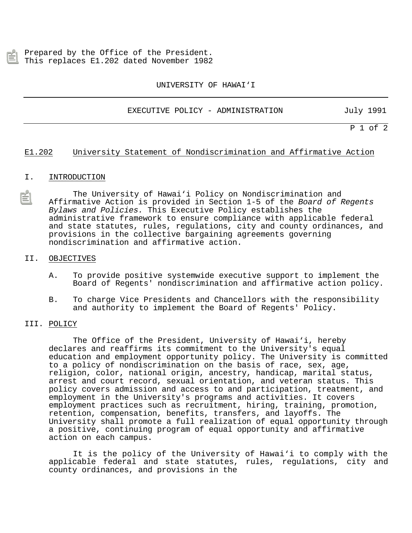Prepared by the Office of the President. This replaces E1.202 dated November 1982

UNIVERSITY OF HAWAI'I

EXECUTIVE POLICY - ADMINISTRATION July 1991

P 1 of 2

## E1.202 University Statement of Nondiscrimination and Affirmative Action

## I. INTRODUCTION

The University of Hawai'i Policy on Nondiscrimination and Affirmative Action is provided in Section 1-5 of the Board of Regents Bylaws and Policies. This Executive Policy establishes the administrative framework to ensure compliance with applicable federal [and state statutes, rules, regulations, city and county ordinances, and](http://www.svpa.hawaii.edu/svpa/borp/borpch1.pdf) provisions in the collective bargaining agreements governing nondiscrimination and affirmative action.

## II. OBJECTIVES

- A. To provide positive systemwide executive support to implement the Board of Regents' nondiscrimination and affirmative action policy.
- B. To charge Vice Presidents and Chancellors with the responsibility and authority to implement the Board of Regents' Policy.

## III. POLICY

The Office of the President, University of Hawai'i, hereby declares and reaffirms its commitment to the University's equal education and employment opportunity policy. The University is committed to a policy of nondiscrimination on the basis of race, sex, age, religion, color, national origin, ancestry, handicap, marital status, arrest and court record, sexual orientation, and veteran status. This policy covers admission and access to and participation, treatment, and employment in the University's programs and activities. It covers employment practices such as recruitment, hiring, training, promotion, retention, compensation, benefits, transfers, and layoffs. The University shall promote a full realization of equal opportunity through a positive, continuing program of equal opportunity and affirmative action on each campus.

It is the policy of the University of Hawai'i to comply with the applicable federal and state statutes, rules, regulations, city and county ordinances, and provisions in the